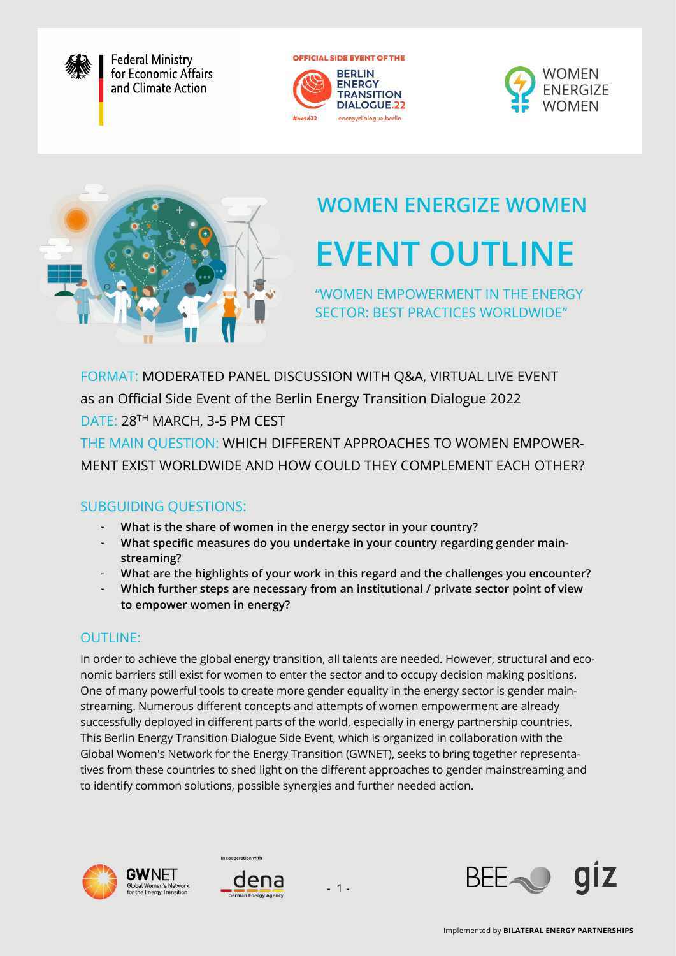

**Federal Ministry** for Economic Affairs and Climate Action

**OFFICIAL SIDE EVENT OF THE** 







# **EVENT OUTLINE WOMEN ENERGIZE WOMEN**

"WOMEN EMPOWERMENT IN THE ENERGY SECTOR: BEST PRACTICES WORLDWIDE"

FORMAT: MODERATED PANEL DISCUSSION WITH Q&A, VIRTUAL LIVE EVENT as an Official Side Event of the Berlin Energy Transition Dialogue 2022

DATE: 28TH MARCH, 3-5 PM CEST

THE MAIN QUESTION: WHICH DIFFERENT APPROACHES TO WOMEN EMPOWER-MENT EXIST WORLDWIDE AND HOW COULD THEY COMPLEMENT EACH OTHER?

## SUBGUIDING QUESTIONS:

- **What is the share of women in the energy sector in your country?**
- **What specific measures do you undertake in your country regarding gender mainstreaming?**
- **What are the highlights of your work in this regard and the challenges you encounter?**
- **Which further steps are necessary from an institutional / private sector point of view to empower women in energy?**

## **OUTLINE:**

In order to achieve the global energy transition, all talents are needed. However, structural and economic barriers still exist for women to enter the sector and to occupy decision making positions. One of many powerful tools to create more gender equality in the energy sector is gender mainstreaming. Numerous different concepts and attempts of women empowerment are already successfully deployed in different parts of the world, especially in energy partnership countries. This Berlin Energy Transition Dialogue Side Event, which is organized in collaboration with the Global Women's Network for the Energy Transition (GWNET), seeks to bring together representatives from these countries to shed light on the different approaches to gender mainstreaming and to identify common solutions, possible synergies and further needed action.





In cooperation with